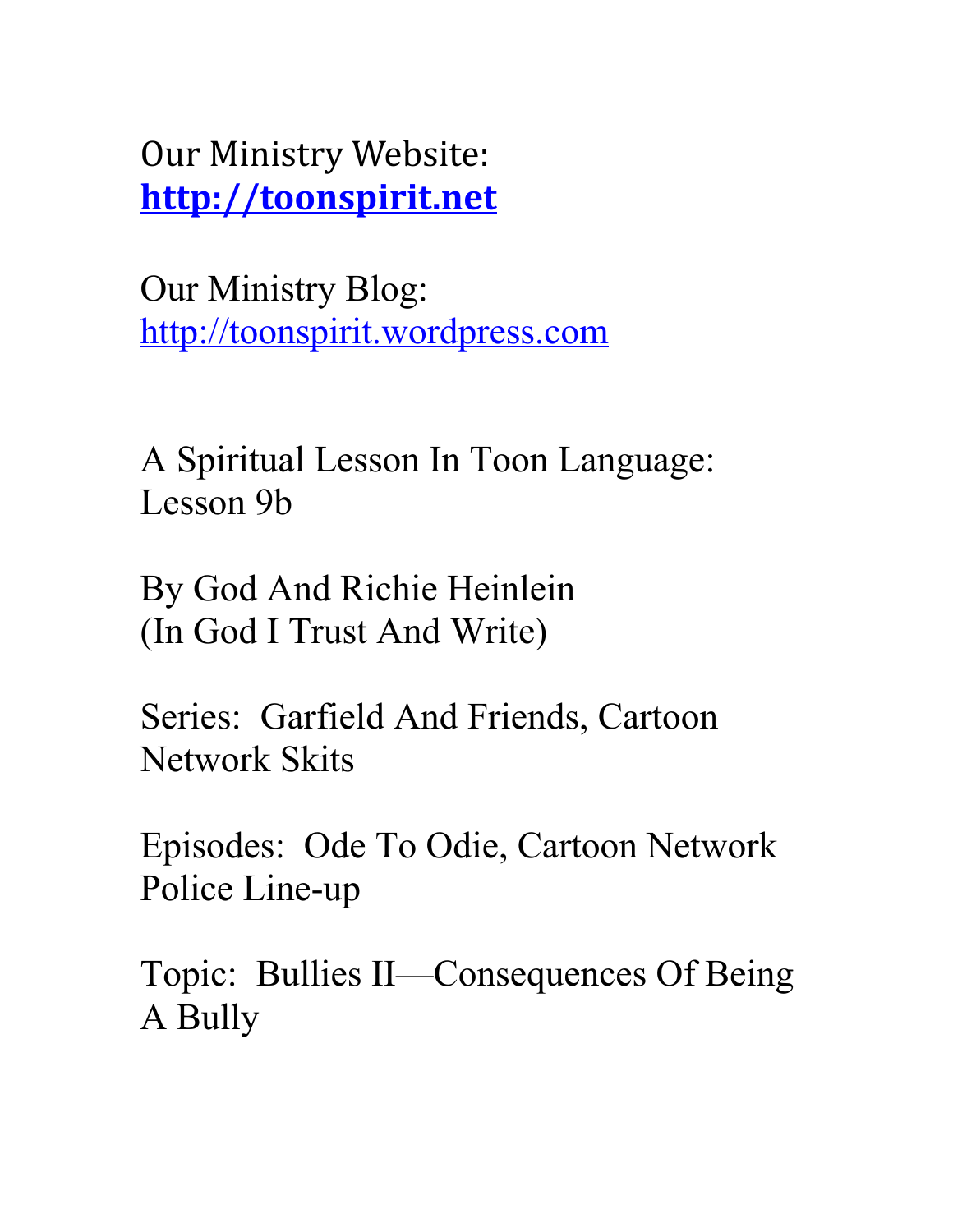Our Ministry Website: **[http://toonspirit.net](http://toonspirit.net/)**

Our Ministry Blog: [http://toonspirit.wordpress.com](http://toonspirit.wordpress.com/)

A Spiritual Lesson In Toon Language: Lesson 9b

By God And Richie Heinlein (In God I Trust And Write)

Series: Garfield And Friends, Cartoon Network Skits

Episodes: Ode To Odie, Cartoon Network Police Line-up

Topic: Bullies II—Consequences Of Being A Bully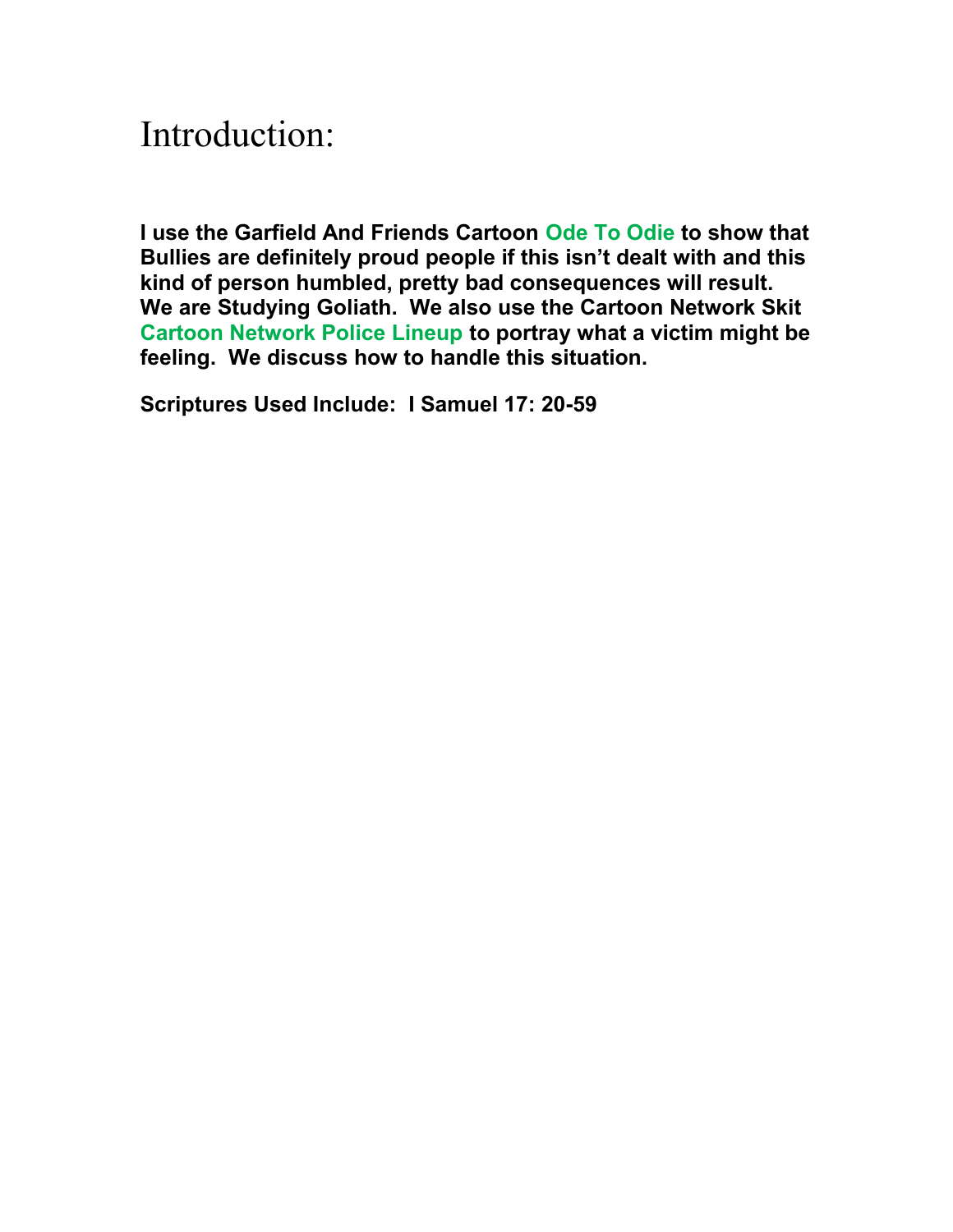## Introduction:

**I use the Garfield And Friends Cartoon Ode To Odie to show that Bullies are definitely proud people if this isn't dealt with and this kind of person humbled, pretty bad consequences will result. We are Studying Goliath. We also use the Cartoon Network Skit Cartoon Network Police Lineup to portray what a victim might be feeling. We discuss how to handle this situation.**

**Scriptures Used Include: I Samuel 17: 20-59**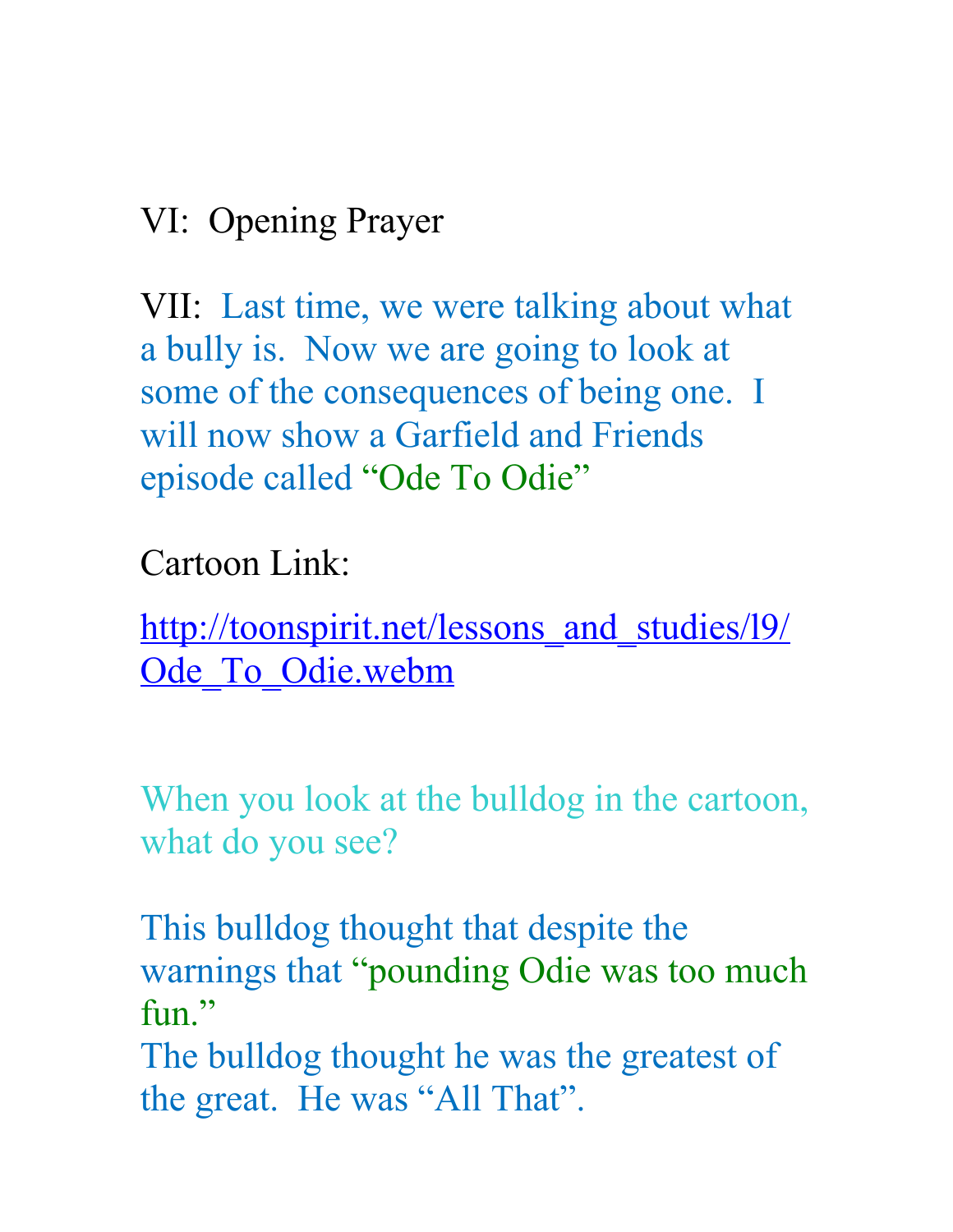## VI: Opening Prayer

VII: Last time, we were talking about what a bully is. Now we are going to look at some of the consequences of being one. I will now show a Garfield and Friends episode called "Ode To Odie"

Cartoon Link:

http://toonspirit.net/lessons and studies/19/ Ode To Odie.webm

When you look at the bulldog in the cartoon, what do you see?

This bulldog thought that despite the warnings that "pounding Odie was too much fun."

The bulldog thought he was the greatest of the great. He was "All That".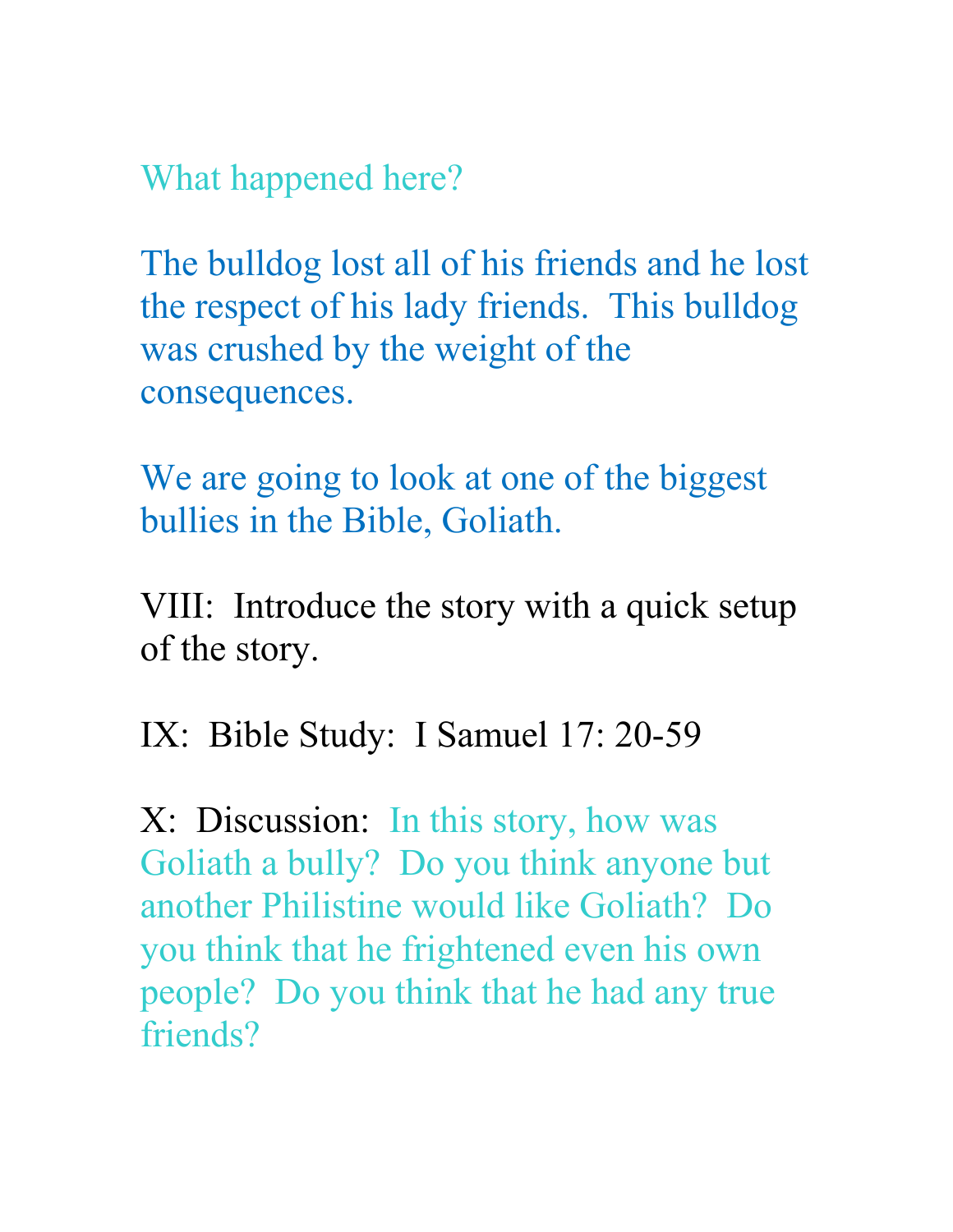What happened here?

The bulldog lost all of his friends and he lost the respect of his lady friends. This bulldog was crushed by the weight of the consequences.

We are going to look at one of the biggest bullies in the Bible, Goliath.

VIII: Introduce the story with a quick setup of the story.

IX: Bible Study: I Samuel 17: 20-59

X: Discussion: In this story, how was Goliath a bully? Do you think anyone but another Philistine would like Goliath? Do you think that he frightened even his own people? Do you think that he had any true friends?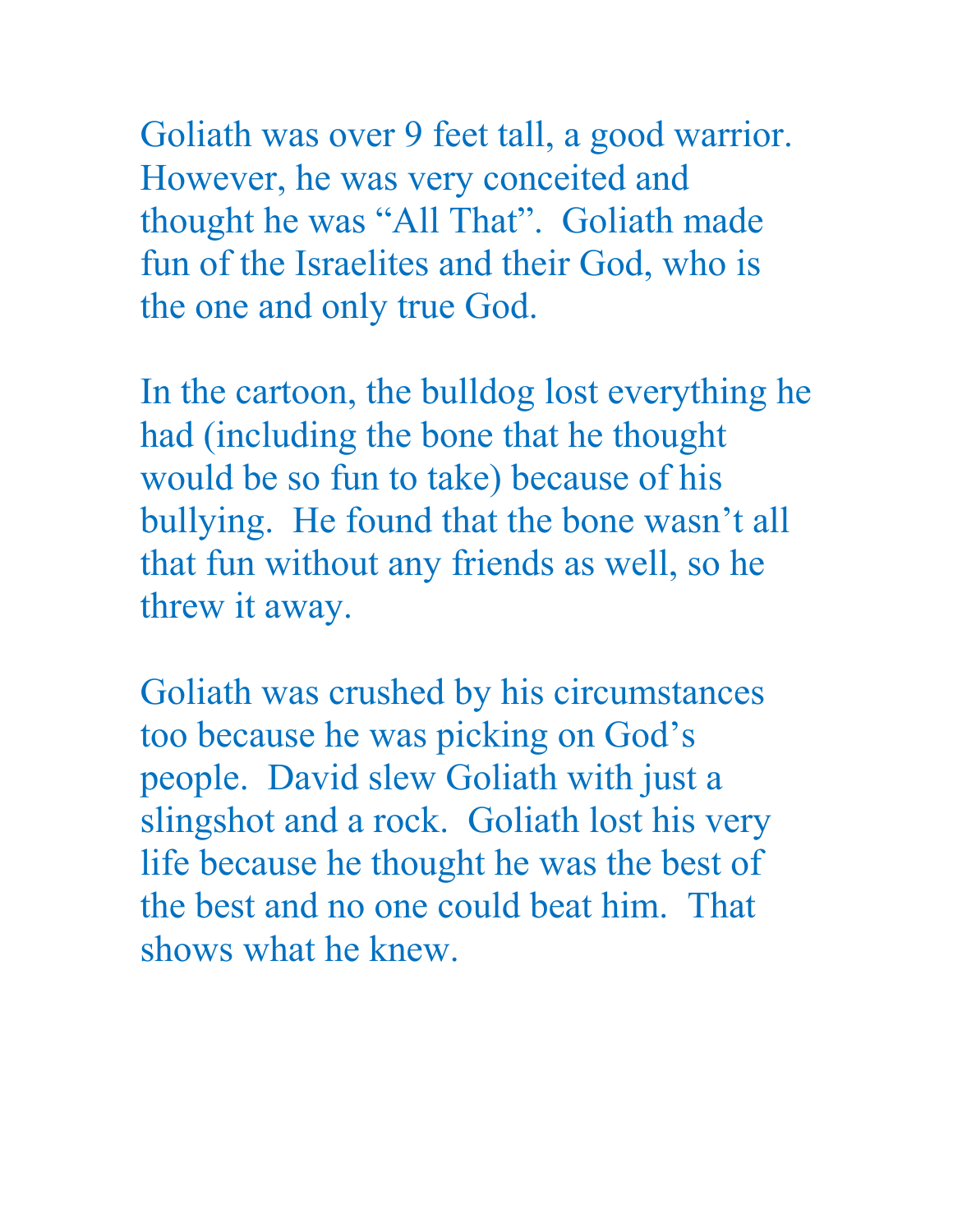Goliath was over 9 feet tall, a good warrior. However, he was very conceited and thought he was "All That". Goliath made fun of the Israelites and their God, who is the one and only true God.

In the cartoon, the bulldog lost everything he had (including the bone that he thought would be so fun to take) because of his bullying. He found that the bone wasn't all that fun without any friends as well, so he threw it away.

Goliath was crushed by his circumstances too because he was picking on God's people. David slew Goliath with just a slingshot and a rock. Goliath lost his very life because he thought he was the best of the best and no one could beat him. That shows what he knew.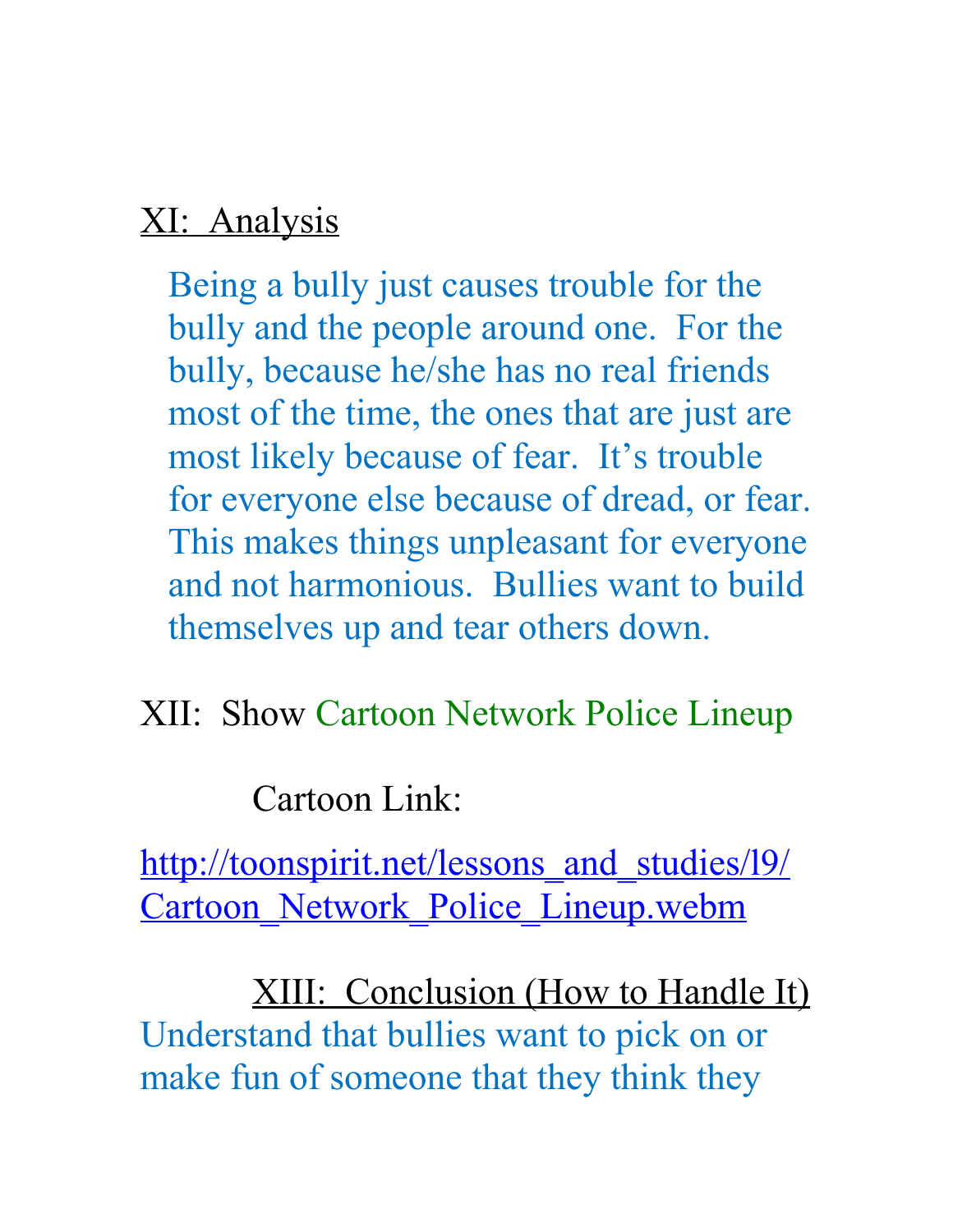## XI: Analysis

Being a bully just causes trouble for the bully and the people around one. For the bully, because he/she has no real friends most of the time, the ones that are just are most likely because of fear. It's trouble for everyone else because of dread, or fear. This makes things unpleasant for everyone and not harmonious. Bullies want to build themselves up and tear others down.

XII: Show Cartoon Network Police Lineup

Cartoon Link:

http://toonspirit.net/lessons and studies/19/ Cartoon Network Police Lineup.webm

XIII: Conclusion (How to Handle It) Understand that bullies want to pick on or make fun of someone that they think they